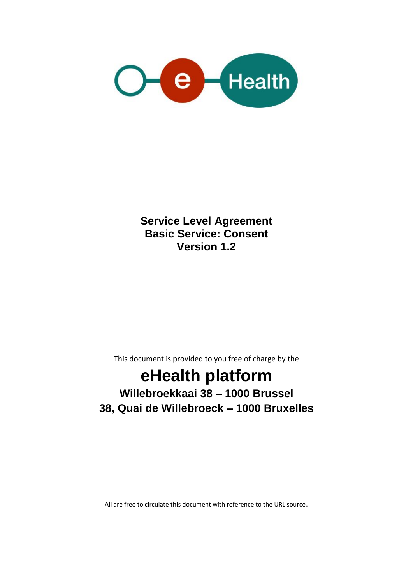

**Service Level Agreement Basic Service: Consent Version 1.2**

This document is provided to you free of charge by the

# **eHealth platform**

# **Willebroekkaai 38 – 1000 Brussel 38, Quai de Willebroeck – 1000 Bruxelles**

All are free to circulate this document with reference to the URL source.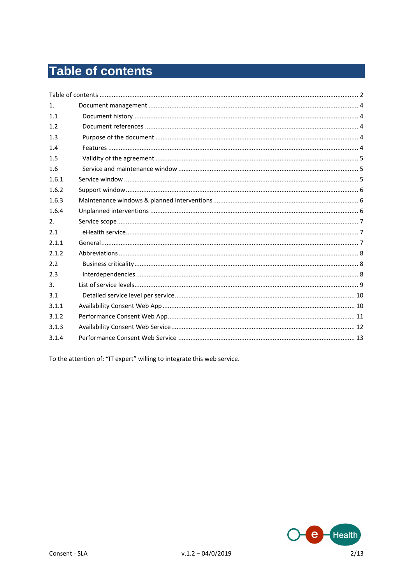# **Table of contents**

| 1 <sub>1</sub> |  |
|----------------|--|
| 11             |  |
| 1.2            |  |
| 1.3            |  |
| 1.4            |  |
| 1.5            |  |
| 1.6            |  |
| 1.6.1          |  |
| 1.6.2          |  |
| 1.6.3          |  |
| 1.6.4          |  |
| 2.             |  |
| 2.1            |  |
| 2.1.1          |  |
| 2.1.2          |  |
| 2.2            |  |
| 2.3            |  |
| 3.             |  |
| 3.1            |  |
| 3.1.1          |  |
| 3.1.2          |  |
| 3.1.3          |  |
| 3.1.4          |  |
|                |  |

To the attention of: "IT expert" willing to integrate this web service.

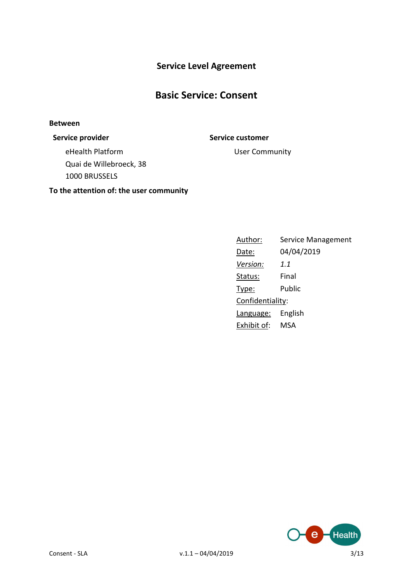### **Service Level Agreement**

### **Basic Service: Consent**

#### **Between**

#### **Service provider Service customer**

eHealth Platform Quai de Willebroeck, 38 1000 BRUSSELS

**To the attention of: the user community**

User Community

### Author: Service Management Date: 04/04/2019 *Version: 1.1* Status: Final Type: Public Confidentiality: Language: English Exhibit of: MSA

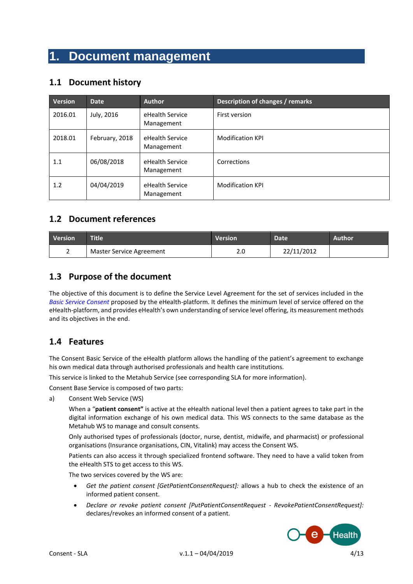## **1. Document management**

#### **1.1 Document history**

| <b>Version</b> | <b>Date</b>    | <b>Author</b>                 | Description of changes / remarks |
|----------------|----------------|-------------------------------|----------------------------------|
| 2016.01        | July, 2016     | eHealth Service<br>Management | First version                    |
| 2018.01        | February, 2018 | eHealth Service<br>Management | <b>Modification KPI</b>          |
| 1.1            | 06/08/2018     | eHealth Service<br>Management | Corrections                      |
| 1.2            | 04/04/2019     | eHealth Service<br>Management | <b>Modification KPI</b>          |

#### **1.2 Document references**

| <b>Version</b> | <b>Title</b>             | <b>Version</b> | <b>Date</b> | Author |
|----------------|--------------------------|----------------|-------------|--------|
| -              | Master Service Agreement | z.u            | 22/11/2012  |        |

#### **1.3 Purpose of the document**

The objective of this document is to define the Service Level Agreement for the set of services included in the *Basic Service Consent* proposed by the eHealth-platform. It defines the minimum level of service offered on the eHealth-platform, and provides eHealth's own understanding of service level offering, its measurement methods and its objectives in the end.

#### **1.4 Features**

The Consent Basic Service of the eHealth platform allows the handling of the patient's agreement to exchange his own medical data through authorised professionals and health care institutions.

This service is linked to the Metahub Service (see corresponding SLA for more information).

Consent Base Service is composed of two parts:

a) Consent Web Service (WS)

When a "**patient consent"** is active at the eHealth national level then a patient agrees to take part in the digital information exchange of his own medical data. This WS connects to the same database as the Metahub WS to manage and consult consents.

Only authorised types of professionals (doctor, nurse, dentist, midwife, and pharmacist) or professional organisations (Insurance organisations, CIN, Vitalink) may access the Consent WS.

Patients can also access it through specialized frontend software. They need to have a valid token from the eHealth STS to get access to this WS.

The two services covered by the WS are:

- *Get the patient consent [GetPatientConsentRequest]:* allows a hub to check the existence of an informed patient consent.
- *Declare or revoke patient consent [PutPatientConsentRequest - RevokePatientConsentRequest]:*  declares/revokes an informed consent of a patient.

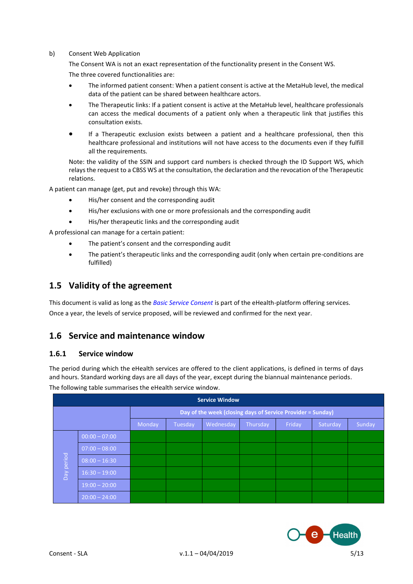#### b) Consent Web Application

The Consent WA is not an exact representation of the functionality present in the Consent WS.

The three covered functionalities are:

- The informed patient consent: When a patient consent is active at the MetaHub level, the medical data of the patient can be shared between healthcare actors.
- The Therapeutic links: If a patient consent is active at the MetaHub level, healthcare professionals can access the medical documents of a patient only when a therapeutic link that justifies this consultation exists.
- If a Therapeutic exclusion exists between a patient and a healthcare professional, then this healthcare professional and institutions will not have access to the documents even if they fulfill all the requirements.

Note: the validity of the SSIN and support card numbers is checked through the ID Support WS, which relays the request to a CBSS WS at the consultation, the declaration and the revocation of the Therapeutic relations.

A patient can manage (get, put and revoke) through this WA:

- His/her consent and the corresponding audit
- His/her exclusions with one or more professionals and the corresponding audit
- His/her therapeutic links and the corresponding audit

A professional can manage for a certain patient:

- The patient's consent and the corresponding audit
- The patient's therapeutic links and the corresponding audit (only when certain pre-conditions are fulfilled)

#### **1.5 Validity of the agreement**

This document is valid as long as the *Basic Service Consent* is part of the eHealth-platform offering services. Once a year, the levels of service proposed, will be reviewed and confirmed for the next year.

#### **1.6 Service and maintenance window**

#### **1.6.1 Service window**

The period during which the eHealth services are offered to the client applications, is defined in terms of days and hours. Standard working days are all days of the year, except during the biannual maintenance periods.

The following table summarises the eHealth service window.

| <b>Service Window</b>                                            |                                                             |  |  |  |        |  |  |  |
|------------------------------------------------------------------|-------------------------------------------------------------|--|--|--|--------|--|--|--|
|                                                                  | Day of the week (closing days of Service Provider = Sunday) |  |  |  |        |  |  |  |
| Wednesday<br>Monday<br>Thursday<br>Friday<br>Saturday<br>Tuesday |                                                             |  |  |  | Sunday |  |  |  |
|                                                                  | $00:00 - 07:00$                                             |  |  |  |        |  |  |  |
| Day period                                                       | $07:00 - 08:00$                                             |  |  |  |        |  |  |  |
|                                                                  | $08:00 - 16:30$                                             |  |  |  |        |  |  |  |
|                                                                  | $16:30 - 19:00$                                             |  |  |  |        |  |  |  |
|                                                                  | $19:00 - 20:00$                                             |  |  |  |        |  |  |  |
|                                                                  | $20:00 - 24:00$                                             |  |  |  |        |  |  |  |

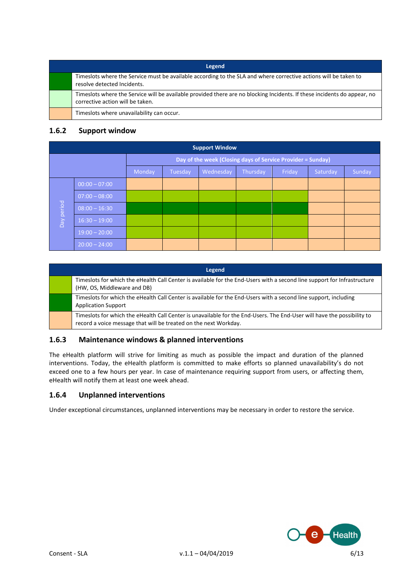| Legend                                                                                                                                                       |
|--------------------------------------------------------------------------------------------------------------------------------------------------------------|
| Timeslots where the Service must be available according to the SLA and where corrective actions will be taken to<br>resolve detected Incidents.              |
| Timeslots where the Service will be available provided there are no blocking Incidents. If these incidents do appear, no<br>corrective action will be taken. |
| Timeslots where unavailability can occur.                                                                                                                    |

#### **1.6.2 Support window**

| <b>Support Window</b> |                                                             |        |         |           |          |        |          |        |
|-----------------------|-------------------------------------------------------------|--------|---------|-----------|----------|--------|----------|--------|
|                       | Day of the week (Closing days of Service Provider = Sunday) |        |         |           |          |        |          |        |
|                       |                                                             | Monday | Tuesday | Wednesday | Thursday | Friday | Saturday | Sunday |
|                       | $00:00 - 07:00$                                             |        |         |           |          |        |          |        |
| Day period            | $07:00 - 08:00$                                             |        |         |           |          |        |          |        |
|                       | $08:00 - 16:30$                                             |        |         |           |          |        |          |        |
|                       | $16:30 - 19:00$                                             |        |         |           |          |        |          |        |
|                       | $19:00 - 20:00$                                             |        |         |           |          |        |          |        |
|                       | $20:00 - 24:00$                                             |        |         |           |          |        |          |        |

| Legend                                                                                                                                                                                      |
|---------------------------------------------------------------------------------------------------------------------------------------------------------------------------------------------|
| Timeslots for which the eHealth Call Center is available for the End-Users with a second line support for Infrastructure<br>(HW, OS, Middleware and DB)                                     |
| Timeslots for which the eHealth Call Center is available for the End-Users with a second line support, including<br><b>Application Support</b>                                              |
| Timeslots for which the eHealth Call Center is unavailable for the End-Users. The End-User will have the possibility to<br>record a voice message that will be treated on the next Workday. |

#### **1.6.3 Maintenance windows & planned interventions**

The eHealth platform will strive for limiting as much as possible the impact and duration of the planned interventions. Today, the eHealth platform is committed to make efforts so planned unavailability's do not exceed one to a few hours per year. In case of maintenance requiring support from users, or affecting them, eHealth will notify them at least one week ahead.

#### **1.6.4 Unplanned interventions**

Under exceptional circumstances, unplanned interventions may be necessary in order to restore the service.

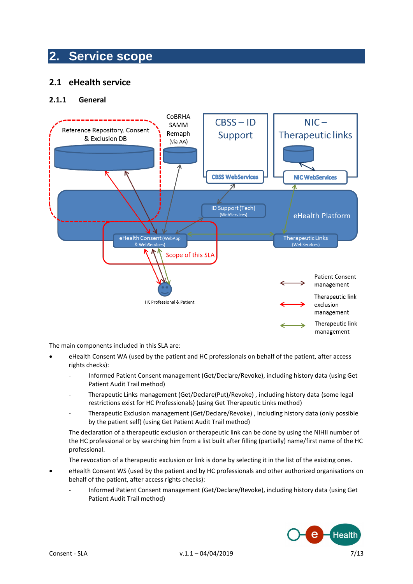### **2. Service scope**

#### **2.1 eHealth service**

#### **2.1.1 General**



The main components included in this SLA are:

- eHealth Consent WA (used by the patient and HC professionals on behalf of the patient, after access rights checks):
	- Informed Patient Consent management (Get/Declare/Revoke), including history data (using Get Patient Audit Trail method)
	- Therapeutic Links management (Get/Declare(Put)/Revoke), including history data (some legal restrictions exist for HC Professionals) (using Get Therapeutic Links method)
	- Therapeutic Exclusion management (Get/Declare/Revoke), including history data (only possible by the patient self) (using Get Patient Audit Trail method)

The declaration of a therapeutic exclusion or therapeutic link can be done by using the NIHII number of the HC professional or by searching him from a list built after filling (partially) name/first name of the HC professional.

The revocation of a therapeutic exclusion or link is done by selecting it in the list of the existing ones.

- eHealth Consent WS (used by the patient and by HC professionals and other authorized organisations on behalf of the patient, after access rights checks):
	- Informed Patient Consent management (Get/Declare/Revoke), including history data (using Get Patient Audit Trail method)

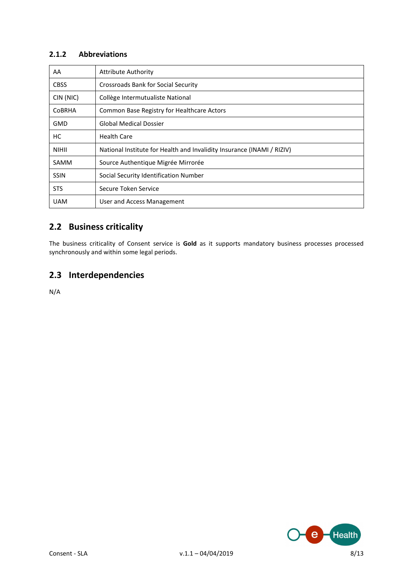#### **2.1.2 Abbreviations**

| AA            | <b>Attribute Authority</b>                                             |
|---------------|------------------------------------------------------------------------|
| <b>CBSS</b>   | <b>Crossroads Bank for Social Security</b>                             |
| CIN (NIC)     | Collège Intermutualiste National                                       |
| <b>COBRHA</b> | Common Base Registry for Healthcare Actors                             |
| <b>GMD</b>    | <b>Global Medical Dossier</b>                                          |
| НC            | <b>Health Care</b>                                                     |
| <b>NIHII</b>  | National Institute for Health and Invalidity Insurance (INAMI / RIZIV) |
| <b>SAMM</b>   | Source Authentique Migrée Mirrorée                                     |
| <b>SSIN</b>   | Social Security Identification Number                                  |
| <b>STS</b>    | Secure Token Service                                                   |
| <b>UAM</b>    | User and Access Management                                             |

### **2.2 Business criticality**

The business criticality of Consent service is **Gold** as it supports mandatory business processes processed synchronously and within some legal periods.

### **2.3 Interdependencies**

N/A

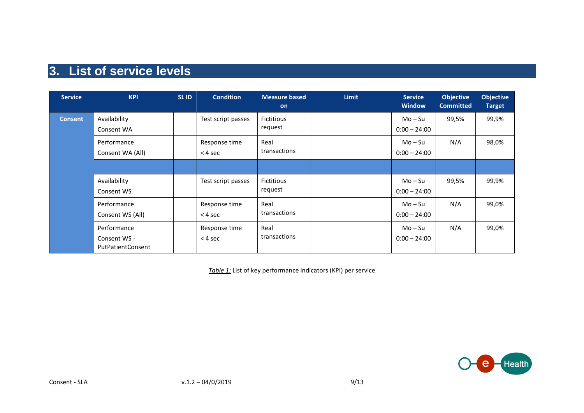# **3. List of service levels**

| <b>Service</b> | <b>KPI</b>                                       | <b>SLID</b> | <b>Condition</b>           | <b>Measure based</b><br><b>on</b> | <b>Limit</b> | <b>Service</b><br><b>Window</b> | <b>Objective</b><br><b>Committed</b> | <b>Objective</b><br><b>Target</b> |
|----------------|--------------------------------------------------|-------------|----------------------------|-----------------------------------|--------------|---------------------------------|--------------------------------------|-----------------------------------|
| <b>Consent</b> | Availability<br>Consent WA                       |             | Test script passes         | <b>Fictitious</b><br>request      |              | $Mo-Su$<br>$0:00 - 24:00$       | 99,5%                                | 99,9%                             |
|                | Performance<br>Consent WA (All)                  |             | Response time<br>$<$ 4 sec | Real<br>transactions              |              | $Mo-Su$<br>$0:00 - 24:00$       | N/A                                  | 98,0%                             |
|                |                                                  |             |                            |                                   |              |                                 |                                      |                                   |
|                | Availability<br>Consent WS                       |             | Test script passes         | <b>Fictitious</b><br>request      |              | $Mo-Su$<br>$0:00 - 24:00$       | 99,5%                                | 99,9%                             |
|                | Performance<br>Consent WS (All)                  |             | Response time<br>$<$ 4 sec | Real<br>transactions              |              | $Mo-Su$<br>$0:00 - 24:00$       | N/A                                  | 99,0%                             |
|                | Performance<br>Consent WS -<br>PutPatientConsent |             | Response time<br>$<$ 4 sec | Real<br>transactions              |              | $Mo-Su$<br>$0:00 - 24:00$       | N/A                                  | 99,0%                             |

*Table 1:* List of key performance indicators (KPI) per service

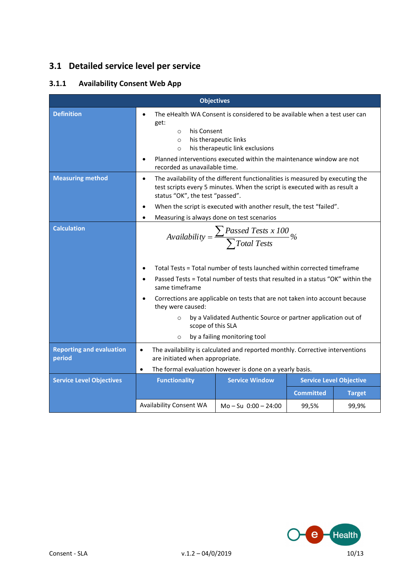### **3.1 Detailed service level per service**

### **3.1.1 Availability Consent Web App**

|                                           | <b>Objectives</b>                                                                                                                                                                                           |                                                                                                                                                              |                  |                                |  |  |
|-------------------------------------------|-------------------------------------------------------------------------------------------------------------------------------------------------------------------------------------------------------------|--------------------------------------------------------------------------------------------------------------------------------------------------------------|------------------|--------------------------------|--|--|
| <b>Definition</b>                         | The eHealth WA Consent is considered to be available when a test user can<br>$\bullet$<br>get:<br>his Consent<br>$\circ$<br>his therapeutic links<br>$\circ$<br>his therapeutic link exclusions<br>$\Omega$ |                                                                                                                                                              |                  |                                |  |  |
|                                           | $\bullet$<br>recorded as unavailable time.                                                                                                                                                                  | Planned interventions executed within the maintenance window are not                                                                                         |                  |                                |  |  |
| <b>Measuring method</b>                   | $\bullet$<br>status "OK", the test "passed".                                                                                                                                                                | The availability of the different functionalities is measured by executing the<br>test scripts every 5 minutes. When the script is executed with as result a |                  |                                |  |  |
|                                           | $\bullet$                                                                                                                                                                                                   | When the script is executed with another result, the test "failed".                                                                                          |                  |                                |  |  |
|                                           | $\bullet$                                                                                                                                                                                                   | Measuring is always done on test scenarios                                                                                                                   |                  |                                |  |  |
| <b>Calculation</b>                        | $\textit{Availableility} = \frac{\sum \textit{Passed Tests x 100}}{\sum \textit{Total Tests}}\%$                                                                                                            |                                                                                                                                                              |                  |                                |  |  |
|                                           | $\bullet$                                                                                                                                                                                                   | Total Tests = Total number of tests launched within corrected timeframe                                                                                      |                  |                                |  |  |
|                                           | $\bullet$<br>same timeframe                                                                                                                                                                                 | Passed Tests = Total number of tests that resulted in a status "OK" within the                                                                               |                  |                                |  |  |
|                                           | $\bullet$<br>they were caused:                                                                                                                                                                              | Corrections are applicable on tests that are not taken into account because                                                                                  |                  |                                |  |  |
|                                           | $\Omega$<br>scope of this SLA                                                                                                                                                                               | by a Validated Authentic Source or partner application out of                                                                                                |                  |                                |  |  |
|                                           | $\circ$                                                                                                                                                                                                     | by a failing monitoring tool                                                                                                                                 |                  |                                |  |  |
| <b>Reporting and evaluation</b><br>period | The availability is calculated and reported monthly. Corrective interventions<br>$\bullet$<br>are initiated when appropriate.                                                                               |                                                                                                                                                              |                  |                                |  |  |
| <b>Service Level Objectives</b>           | $\bullet$<br><b>Functionality</b>                                                                                                                                                                           | The formal evaluation however is done on a yearly basis.<br><b>Service Window</b>                                                                            |                  | <b>Service Level Objective</b> |  |  |
|                                           |                                                                                                                                                                                                             |                                                                                                                                                              | <b>Committed</b> | <b>Target</b>                  |  |  |
|                                           | <b>Availability Consent WA</b>                                                                                                                                                                              | $Mo - Su$ 0:00 $- 24:00$                                                                                                                                     |                  |                                |  |  |
|                                           |                                                                                                                                                                                                             |                                                                                                                                                              | 99,5%            | 99,9%                          |  |  |

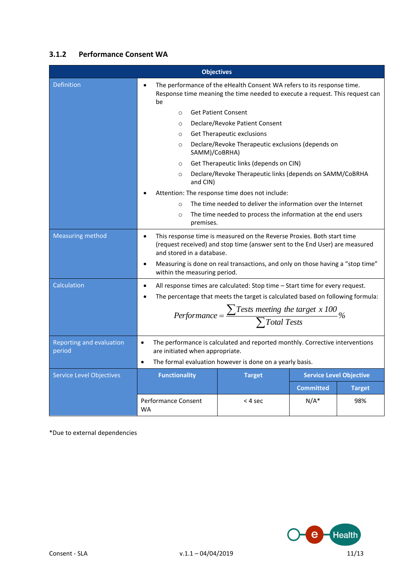### **3.1.2 Performance Consent WA**

| <b>Objectives</b>                  |                                                                                                          |                                                                                                                                                                                                                                         |                  |                                |  |  |  |
|------------------------------------|----------------------------------------------------------------------------------------------------------|-----------------------------------------------------------------------------------------------------------------------------------------------------------------------------------------------------------------------------------------|------------------|--------------------------------|--|--|--|
| <b>Definition</b>                  | be                                                                                                       | The performance of the eHealth Consent WA refers to its response time.<br>Response time meaning the time needed to execute a request. This request can                                                                                  |                  |                                |  |  |  |
|                                    | $\circ$                                                                                                  | <b>Get Patient Consent</b>                                                                                                                                                                                                              |                  |                                |  |  |  |
|                                    | $\circ$                                                                                                  | Declare/Revoke Patient Consent                                                                                                                                                                                                          |                  |                                |  |  |  |
|                                    | $\circ$                                                                                                  | Get Therapeutic exclusions                                                                                                                                                                                                              |                  |                                |  |  |  |
|                                    | $\circ$<br>SAMM)/CoBRHA)                                                                                 | Declare/Revoke Therapeutic exclusions (depends on                                                                                                                                                                                       |                  |                                |  |  |  |
|                                    | Get Therapeutic links (depends on CIN)<br>$\circ$                                                        |                                                                                                                                                                                                                                         |                  |                                |  |  |  |
|                                    | Declare/Revoke Therapeutic links (depends on SAMM/CoBRHA<br>$\circ$<br>and CIN)                          |                                                                                                                                                                                                                                         |                  |                                |  |  |  |
|                                    | Attention: The response time does not include:                                                           |                                                                                                                                                                                                                                         |                  |                                |  |  |  |
|                                    | The time needed to deliver the information over the Internet<br>$\circ$                                  |                                                                                                                                                                                                                                         |                  |                                |  |  |  |
|                                    | The time needed to process the information at the end users<br>$\circ$<br>premises.                      |                                                                                                                                                                                                                                         |                  |                                |  |  |  |
| <b>Measuring method</b>            | $\bullet$<br>and stored in a database.<br>$\bullet$<br>within the measuring period.                      | This response time is measured on the Reverse Proxies. Both start time<br>(request received) and stop time (answer sent to the End User) are measured<br>Measuring is done on real transactions, and only on those having a "stop time" |                  |                                |  |  |  |
| Calculation                        | $\bullet$                                                                                                | All response times are calculated: Stop time - Start time for every request.                                                                                                                                                            |                  |                                |  |  |  |
|                                    |                                                                                                          | The percentage that meets the target is calculated based on following formula:                                                                                                                                                          |                  |                                |  |  |  |
|                                    | Performance = $\frac{\sum \text{Tests meeting the target x 100}}{\sum \text{Total Tests}}$ %             |                                                                                                                                                                                                                                         |                  |                                |  |  |  |
| Reporting and evaluation<br>period | $\bullet$                                                                                                | The performance is calculated and reported monthly. Corrective interventions                                                                                                                                                            |                  |                                |  |  |  |
|                                    | are initiated when appropriate.<br>The formal evaluation however is done on a yearly basis.<br>$\bullet$ |                                                                                                                                                                                                                                         |                  |                                |  |  |  |
| <b>Service Level Objectives</b>    | <b>Functionality</b>                                                                                     | <b>Target</b>                                                                                                                                                                                                                           |                  | <b>Service Level Objective</b> |  |  |  |
|                                    |                                                                                                          |                                                                                                                                                                                                                                         | <b>Committed</b> | <b>Target</b>                  |  |  |  |
|                                    | Performance Consent<br><b>WA</b>                                                                         | < 4 sec                                                                                                                                                                                                                                 | $N/A^*$          | 98%                            |  |  |  |

\*Due to external dependencies

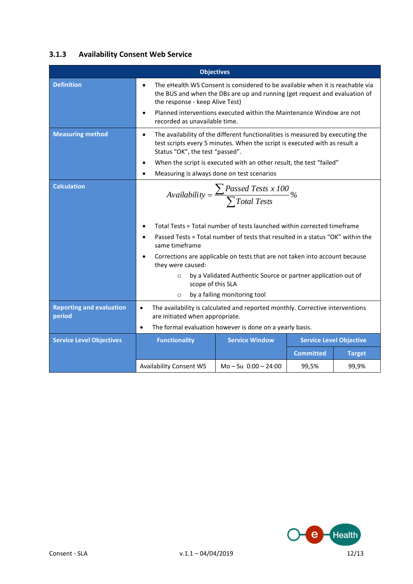#### **3.1.3 Availability Consent Web Service**

|                                           | <b>Objectives</b>                                                                                                                                                                                            |                                                                                |                  |                                |  |  |  |
|-------------------------------------------|--------------------------------------------------------------------------------------------------------------------------------------------------------------------------------------------------------------|--------------------------------------------------------------------------------|------------------|--------------------------------|--|--|--|
| <b>Definition</b>                         | The eHealth WS Consent is considered to be available when it is reachable via<br>$\bullet$<br>the BUS and when the DBs are up and running (get request and evaluation of<br>the response - keep Alive Test)  |                                                                                |                  |                                |  |  |  |
|                                           | Planned interventions executed within the Maintenance Window are not<br>$\bullet$<br>recorded as unavailable time.                                                                                           |                                                                                |                  |                                |  |  |  |
| <b>Measuring method</b>                   | The availability of the different functionalities is measured by executing the<br>$\bullet$<br>test scripts every 5 minutes. When the script is executed with as result a<br>Status "OK", the test "passed". |                                                                                |                  |                                |  |  |  |
|                                           | $\bullet$                                                                                                                                                                                                    | When the script is executed with an other result, the test "failed"            |                  |                                |  |  |  |
|                                           | $\bullet$                                                                                                                                                                                                    | Measuring is always done on test scenarios                                     |                  |                                |  |  |  |
| <b>Calculation</b>                        | $\textit{Availableility} = \frac{\sum \textit{Passed Tests x 100}}{\sum \textit{Total Tests}}\%$                                                                                                             |                                                                                |                  |                                |  |  |  |
|                                           | $\bullet$                                                                                                                                                                                                    | Total Tests = Total number of tests launched within corrected timeframe        |                  |                                |  |  |  |
|                                           | $\bullet$<br>same timeframe                                                                                                                                                                                  | Passed Tests = Total number of tests that resulted in a status "OK" within the |                  |                                |  |  |  |
|                                           | $\bullet$<br>they were caused:                                                                                                                                                                               | Corrections are applicable on tests that are not taken into account because    |                  |                                |  |  |  |
|                                           | $\circ$<br>scope of this SLA                                                                                                                                                                                 | by a Validated Authentic Source or partner application out of                  |                  |                                |  |  |  |
|                                           | $\circ$                                                                                                                                                                                                      | by a failing monitoring tool                                                   |                  |                                |  |  |  |
| <b>Reporting and evaluation</b><br>period | $\bullet$<br>are initiated when appropriate.                                                                                                                                                                 | The availability is calculated and reported monthly. Corrective interventions  |                  |                                |  |  |  |
|                                           | The formal evaluation however is done on a yearly basis.<br>$\bullet$                                                                                                                                        |                                                                                |                  |                                |  |  |  |
| <b>Service Level Objectives</b>           | <b>Functionality</b>                                                                                                                                                                                         | <b>Service Window</b>                                                          |                  | <b>Service Level Objective</b> |  |  |  |
|                                           |                                                                                                                                                                                                              |                                                                                | <b>Committed</b> | <b>Target</b>                  |  |  |  |
|                                           | <b>Availability Consent WS</b>                                                                                                                                                                               | $Mo - Su$ $0:00 - 24:00$                                                       | 99,5%            | 99,9%                          |  |  |  |